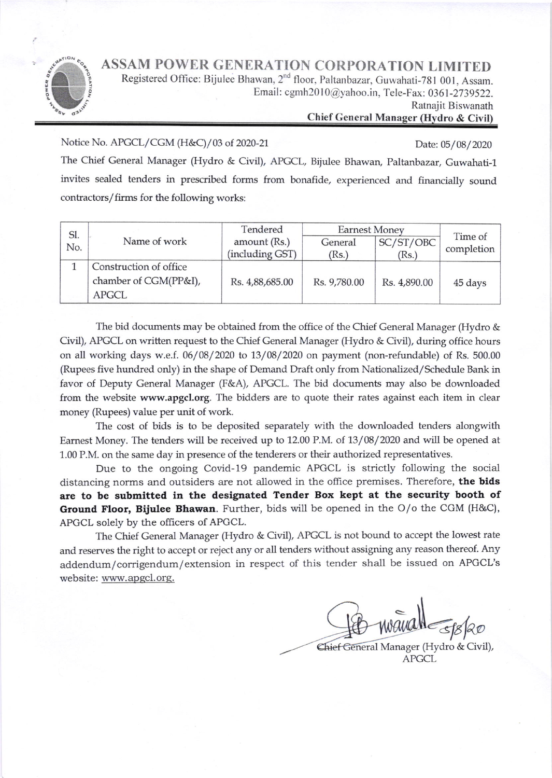ASSAM POWER GENERATION CORPORATION LIMITED



Registered Office: Bijulee Bhawan, 2<sup>nd</sup> floor, Paltanbazar, Guwahati-781 001, Assam. Email: cgmh2010@yahoo.in, Tele-Fax: 0361-2739522.

Ratnajit Biswanath

## Chief General Manager (Hydro & Civil)

Notice No. APGCL/CGM (H&C)/03 of 2020-21 Date: 05/08/2020

The Chief General Manager (Hydro & Civil), APGCL, Bijulee Bhawan, paltanbazar, Guwahati-1 invites sealed tenders in prescribed forms from bonafide, experienced and financially sound contractors/firms for the following works:

| Sl.<br>No. | Name of work           | Tendered<br>amount (Rs.) | <b>Earnest Money</b> |              |                       |
|------------|------------------------|--------------------------|----------------------|--------------|-----------------------|
|            |                        |                          | General              | SC/ST/OBC    | Time of<br>completion |
|            |                        | (including GST)          | (Rs.)                | (Rs.)        |                       |
|            | Construction of office |                          |                      |              |                       |
|            | chamber of CGM(PP&I),  | Rs. 4,88,685.00          | Rs. 9,780.00         | Rs. 4,890.00 | 45 days               |
|            | <b>APGCL</b>           |                          |                      |              |                       |

The bid documents may be obtained from the office of the Chief General Manager (Hydro & Civil), APGCL on written request to the Chief General Manager (Hydro & Civil), during office hours on all working days w.e.f.  $06/08/2020$  to  $13/08/2020$  on payment (non-refundable) of Rs.  $500.00$ (Rupees five hundred only) in the shape of Demand Draft orily from Nationalized/Schedule Bank in favor of Deputy General Manager (F&A), APGCL. The bid documents may also be downloaded from the website www.apgcl.org. The bidders are to quote their rates against each item in clear money (Rupees) value per unit of work.

The cost of bids is to be deposited separately with the downloaded tenders alongwith Earnest Money. The tenders will be received up to 12.00 P.M. of 13/08/2020 and will be opened at 1.00 P.M. on the same day in presence of the tenderers or their authorized representatives.

Due to the ongoing Covid-19 pandemic APGCL is strictly following the social distancing norms and outsiders are not allowed in the office premises. Therefore, the bids are to be submitted in the designated Tender Box kept at the security booth of Ground Floor, Bijulee Bhawan. Further, bids will be opened in the O/o the CGM (H&C), APGCL solely by the officers of APGCL.

The Chief General Manager (Hydro & Civil), APGCL is not bound to accept the lowest rate and reserves the fight to accept or reiect any or all tenders without assigning any reason thereof. Any addendum/corrigendum/extension in respect of this tender shall be issued on APGCL's website: www.apqcl.org.

 $\overline{\phantom{a}}$ 

Chief General Manager (Hydro & Civil), APGCL